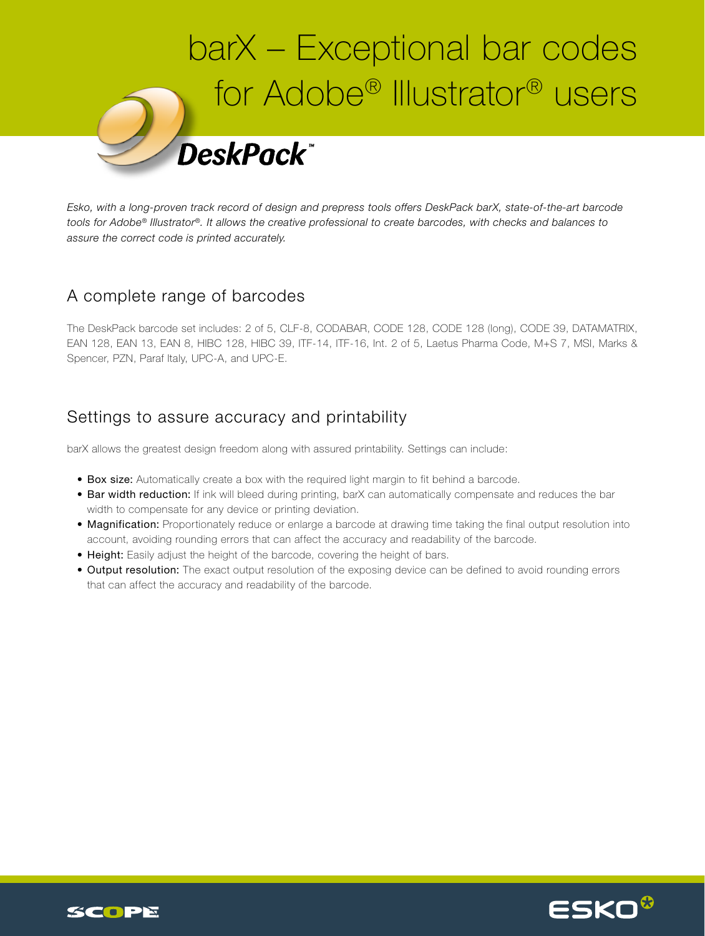

*Esko, with a long-proven track record of design and prepress tools offers DeskPack barX, state-of-the-art barcode tools for Adobe® Illustrator®. It allows the creative professional to create barcodes, with checks and balances to assure the correct code is printed accurately.*

## A complete range of barcodes

The DeskPack barcode set includes: 2 of 5, CLF-8, CODABAR, CODE 128, CODE 128 (long), CODE 39, DATAMATRIX, EAN 128, EAN 13, EAN 8, HIBC 128, HIBC 39, ITF-14, ITF-16, Int. 2 of 5, Laetus Pharma Code, M+S 7, MSI, Marks & Spencer, PZN, Paraf Italy, UPC-A, and UPC-E.

## Settings to assure accuracy and printability

barX allows the greatest design freedom along with assured printability. Settings can include:

- Box size: Automatically create a box with the required light margin to fit behind a barcode.
- Bar width reduction: If ink will bleed during printing, barX can automatically compensate and reduces the bar width to compensate for any device or printing deviation.
- Magnification: Proportionately reduce or enlarge a barcode at drawing time taking the final output resolution into account, avoiding rounding errors that can affect the accuracy and readability of the barcode.
- Height: Easily adjust the height of the barcode, covering the height of bars.
- Output resolution: The exact output resolution of the exposing device can be defined to avoid rounding errors that can affect the accuracy and readability of the barcode.